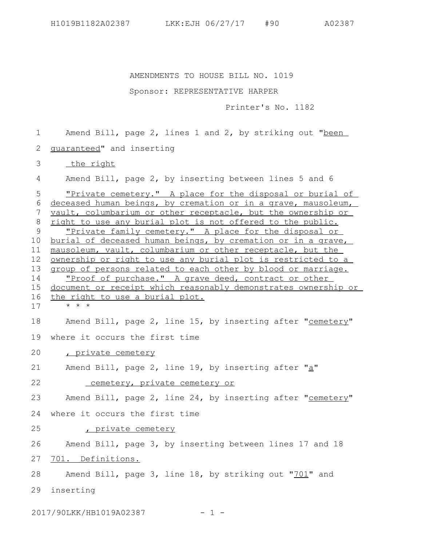AMENDMENTS TO HOUSE BILL NO. 1019

## Sponsor: REPRESENTATIVE HARPER

Printer's No. 1182

Amend Bill, page 2, lines 1 and 2, by striking out "been 1

guaranteed" and inserting 2

 the right 3

Amend Bill, page 2, by inserting between lines 5 and 6 4

"Private cemetery." A place for the disposal or burial of 6 deceased human beings, by cremation or in a grave, mausoleum, vault, columbarium or other receptacle, but the ownership or right to use any burial plot is not offered to the public. "Private family cemetery." A place for the disposal or burial of deceased human beings, by cremation or in a grave, mausoleum, vault, columbarium or other receptacle, but the ownership or right to use any burial plot is restricted to a group of persons related to each other by blood or marriage. "Proof of purchase." A grave deed, contract or other document or receipt which reasonably demonstrates ownership or the right to use a burial plot. 5 7 8 9 10 11 12 13 14 15 16

\* \* \* 17

Amend Bill, page 2, line 15, by inserting after "cemetery" where it occurs the first time 18 19

, private cemetery 20

Amend Bill, page 2, line 19, by inserting after " $a$ " 21

 cemetery, private cemetery or 22

Amend Bill, page 2, line 24, by inserting after "cemetery" 23

where it occurs the first time 24

, private cemetery 25

Amend Bill, page 3, by inserting between lines 17 and 18 26

701. Definitions. 27

Amend Bill, page 3, line 18, by striking out "701" and 28

inserting 29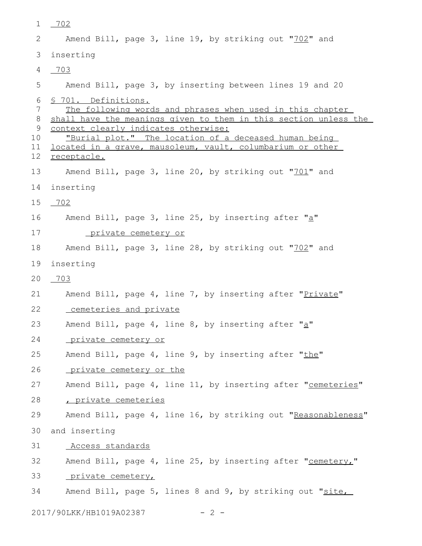| 1                                                            | $-702$                                                                                                                                                                                                                                                                                                                             |
|--------------------------------------------------------------|------------------------------------------------------------------------------------------------------------------------------------------------------------------------------------------------------------------------------------------------------------------------------------------------------------------------------------|
| 2                                                            | Amend Bill, page 3, line 19, by striking out "702" and                                                                                                                                                                                                                                                                             |
| 3                                                            | inserting                                                                                                                                                                                                                                                                                                                          |
| 4                                                            | 703                                                                                                                                                                                                                                                                                                                                |
| 5                                                            | Amend Bill, page 3, by inserting between lines 19 and 20                                                                                                                                                                                                                                                                           |
| 6<br>7<br>8<br>9<br>10 <sub>o</sub><br>11<br>12 <sup>°</sup> | § 701. Definitions.<br>The following words and phrases when used in this chapter<br>shall have the meanings given to them in this section unless the<br>context clearly indicates otherwise:<br>"Burial plot." The location of a deceased human being<br>located in a grave, mausoleum, vault, columbarium or other<br>receptacle. |
| 13                                                           | Amend Bill, page 3, line 20, by striking out "701" and                                                                                                                                                                                                                                                                             |
| 14                                                           | inserting                                                                                                                                                                                                                                                                                                                          |
| 15                                                           | 702                                                                                                                                                                                                                                                                                                                                |
| 16                                                           | Amend Bill, page 3, line 25, by inserting after "a"                                                                                                                                                                                                                                                                                |
| 17                                                           | <u>private cemetery or</u>                                                                                                                                                                                                                                                                                                         |
| 18                                                           | Amend Bill, page 3, line 28, by striking out "702" and                                                                                                                                                                                                                                                                             |
| 19                                                           | inserting                                                                                                                                                                                                                                                                                                                          |
| 20                                                           | 703                                                                                                                                                                                                                                                                                                                                |
| 21                                                           | Amend Bill, page 4, line 7, by inserting after "Private"                                                                                                                                                                                                                                                                           |
| 22                                                           | cemeteries and private                                                                                                                                                                                                                                                                                                             |
| 23                                                           | Amend Bill, page 4, line 8, by inserting after "a"                                                                                                                                                                                                                                                                                 |
| 24                                                           | private cemetery or                                                                                                                                                                                                                                                                                                                |
| 25                                                           | Amend Bill, page 4, line 9, by inserting after "the"                                                                                                                                                                                                                                                                               |
| 26                                                           | private cemetery or the                                                                                                                                                                                                                                                                                                            |
| 27                                                           | Amend Bill, page 4, line 11, by inserting after "cemeteries"                                                                                                                                                                                                                                                                       |
| 28                                                           | private cemeteries                                                                                                                                                                                                                                                                                                                 |
| 29                                                           | Amend Bill, page 4, line 16, by striking out "Reasonableness"                                                                                                                                                                                                                                                                      |
| 30                                                           | and inserting                                                                                                                                                                                                                                                                                                                      |
| 31                                                           | Access standards                                                                                                                                                                                                                                                                                                                   |
| 32                                                           | Amend Bill, page 4, line 25, by inserting after "cemetery,"                                                                                                                                                                                                                                                                        |
| 33                                                           | private cemetery,                                                                                                                                                                                                                                                                                                                  |
| 34                                                           | Amend Bill, page 5, lines 8 and 9, by striking out "site,                                                                                                                                                                                                                                                                          |
|                                                              | 2017/90LKK/HB1019A02387<br>$-2 -$                                                                                                                                                                                                                                                                                                  |